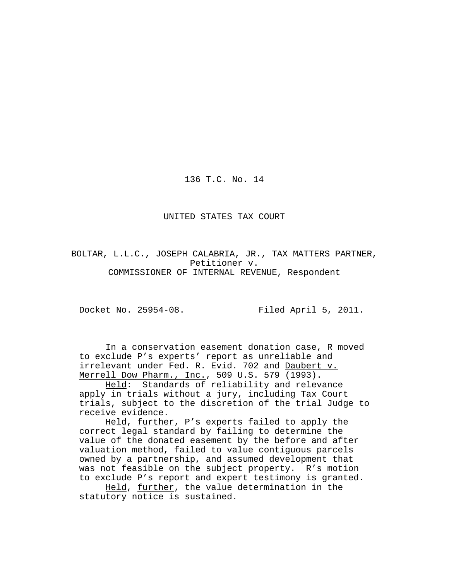136 T.C. No. 14

UNITED STATES TAX COURT

BOLTAR, L.L.C., JOSEPH CALABRIA, JR., TAX MATTERS PARTNER, Petitioner v. COMMISSIONER OF INTERNAL REVENUE, Respondent

Docket No. 25954-08. Filed April 5, 2011.

In a conservation easement donation case, R moved to exclude P's experts' report as unreliable and irrelevant under Fed. R. Evid. 702 and Daubert v. Merrell Dow Pharm., Inc., 509 U.S. 579 (1993).

Held: Standards of reliability and relevance apply in trials without a jury, including Tax Court trials, subject to the discretion of the trial Judge to receive evidence.

Held, further, P's experts failed to apply the correct legal standard by failing to determine the value of the donated easement by the before and after valuation method, failed to value contiguous parcels owned by a partnership, and assumed development that was not feasible on the subject property. R's motion to exclude P's report and expert testimony is granted.

Held, further, the value determination in the statutory notice is sustained.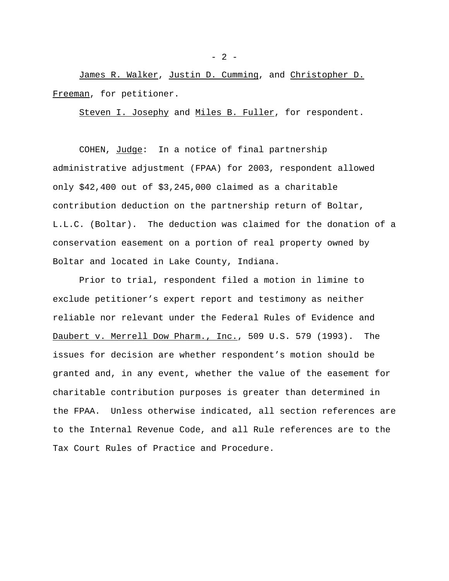James R. Walker, Justin D. Cumming, and Christopher D. Freeman, for petitioner.

Steven I. Josephy and Miles B. Fuller, for respondent.

COHEN, Judge: In a notice of final partnership administrative adjustment (FPAA) for 2003, respondent allowed only \$42,400 out of \$3,245,000 claimed as a charitable contribution deduction on the partnership return of Boltar, L.L.C. (Boltar). The deduction was claimed for the donation of a conservation easement on a portion of real property owned by Boltar and located in Lake County, Indiana.

Prior to trial, respondent filed a motion in limine to exclude petitioner's expert report and testimony as neither reliable nor relevant under the Federal Rules of Evidence and Daubert v. Merrell Dow Pharm., Inc., 509 U.S. 579 (1993). The issues for decision are whether respondent's motion should be granted and, in any event, whether the value of the easement for charitable contribution purposes is greater than determined in the FPAA. Unless otherwise indicated, all section references are to the Internal Revenue Code, and all Rule references are to the Tax Court Rules of Practice and Procedure.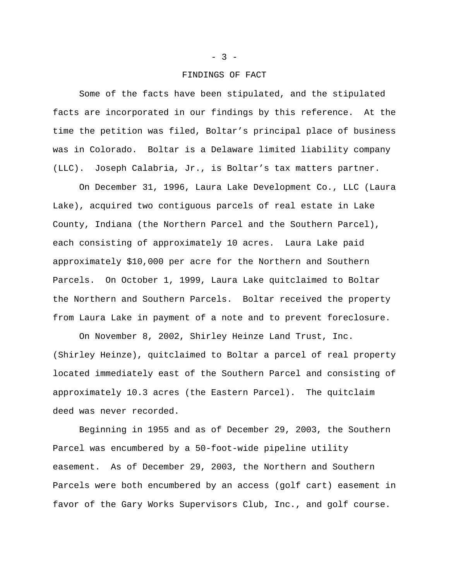## FINDINGS OF FACT

Some of the facts have been stipulated, and the stipulated facts are incorporated in our findings by this reference. At the time the petition was filed, Boltar's principal place of business was in Colorado. Boltar is a Delaware limited liability company (LLC). Joseph Calabria, Jr., is Boltar's tax matters partner.

On December 31, 1996, Laura Lake Development Co., LLC (Laura Lake), acquired two contiguous parcels of real estate in Lake County, Indiana (the Northern Parcel and the Southern Parcel), each consisting of approximately 10 acres. Laura Lake paid approximately \$10,000 per acre for the Northern and Southern Parcels. On October 1, 1999, Laura Lake quitclaimed to Boltar the Northern and Southern Parcels. Boltar received the property from Laura Lake in payment of a note and to prevent foreclosure.

On November 8, 2002, Shirley Heinze Land Trust, Inc. (Shirley Heinze), quitclaimed to Boltar a parcel of real property located immediately east of the Southern Parcel and consisting of approximately 10.3 acres (the Eastern Parcel). The quitclaim deed was never recorded.

Beginning in 1955 and as of December 29, 2003, the Southern Parcel was encumbered by a 50-foot-wide pipeline utility easement. As of December 29, 2003, the Northern and Southern Parcels were both encumbered by an access (golf cart) easement in favor of the Gary Works Supervisors Club, Inc., and golf course.

 $- 3 -$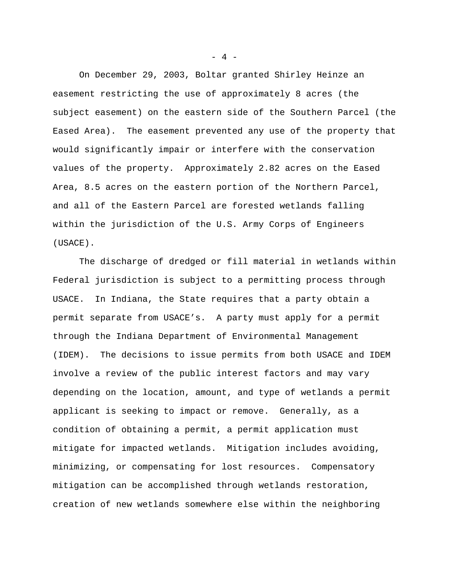On December 29, 2003, Boltar granted Shirley Heinze an easement restricting the use of approximately 8 acres (the subject easement) on the eastern side of the Southern Parcel (the Eased Area). The easement prevented any use of the property that would significantly impair or interfere with the conservation values of the property. Approximately 2.82 acres on the Eased Area, 8.5 acres on the eastern portion of the Northern Parcel, and all of the Eastern Parcel are forested wetlands falling within the jurisdiction of the U.S. Army Corps of Engineers (USACE).

The discharge of dredged or fill material in wetlands within Federal jurisdiction is subject to a permitting process through USACE. In Indiana, the State requires that a party obtain a permit separate from USACE's. A party must apply for a permit through the Indiana Department of Environmental Management (IDEM). The decisions to issue permits from both USACE and IDEM involve a review of the public interest factors and may vary depending on the location, amount, and type of wetlands a permit applicant is seeking to impact or remove. Generally, as a condition of obtaining a permit, a permit application must mitigate for impacted wetlands. Mitigation includes avoiding, minimizing, or compensating for lost resources. Compensatory mitigation can be accomplished through wetlands restoration, creation of new wetlands somewhere else within the neighboring

 $- 4 -$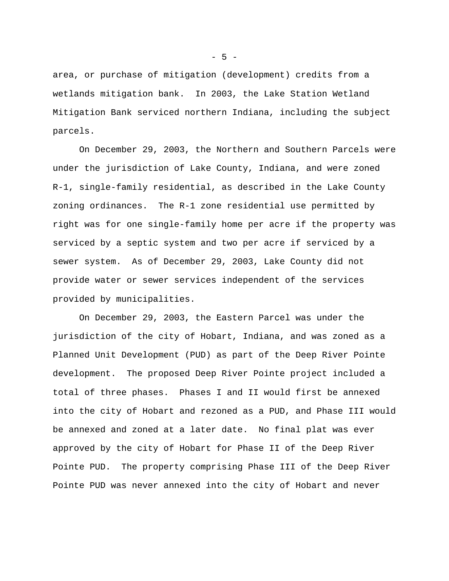area, or purchase of mitigation (development) credits from a wetlands mitigation bank. In 2003, the Lake Station Wetland Mitigation Bank serviced northern Indiana, including the subject parcels.

On December 29, 2003, the Northern and Southern Parcels were under the jurisdiction of Lake County, Indiana, and were zoned R-1, single-family residential, as described in the Lake County zoning ordinances. The R-1 zone residential use permitted by right was for one single-family home per acre if the property was serviced by a septic system and two per acre if serviced by a sewer system. As of December 29, 2003, Lake County did not provide water or sewer services independent of the services provided by municipalities.

On December 29, 2003, the Eastern Parcel was under the jurisdiction of the city of Hobart, Indiana, and was zoned as a Planned Unit Development (PUD) as part of the Deep River Pointe development. The proposed Deep River Pointe project included a total of three phases. Phases I and II would first be annexed into the city of Hobart and rezoned as a PUD, and Phase III would be annexed and zoned at a later date. No final plat was ever approved by the city of Hobart for Phase II of the Deep River Pointe PUD. The property comprising Phase III of the Deep River Pointe PUD was never annexed into the city of Hobart and never

 $-5 -$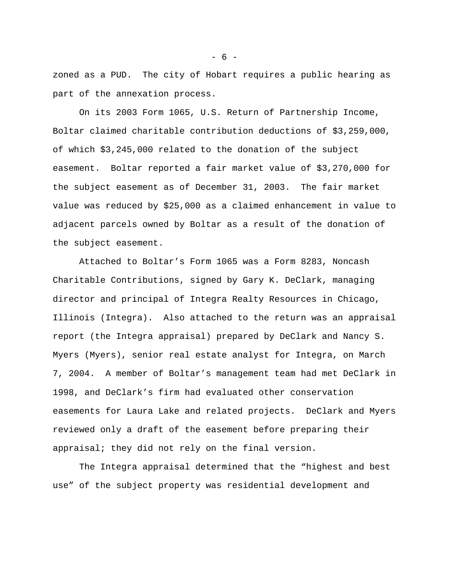zoned as a PUD. The city of Hobart requires a public hearing as part of the annexation process.

On its 2003 Form 1065, U.S. Return of Partnership Income, Boltar claimed charitable contribution deductions of \$3,259,000, of which \$3,245,000 related to the donation of the subject easement. Boltar reported a fair market value of \$3,270,000 for the subject easement as of December 31, 2003. The fair market value was reduced by \$25,000 as a claimed enhancement in value to adjacent parcels owned by Boltar as a result of the donation of the subject easement.

Attached to Boltar's Form 1065 was a Form 8283, Noncash Charitable Contributions, signed by Gary K. DeClark, managing director and principal of Integra Realty Resources in Chicago, Illinois (Integra). Also attached to the return was an appraisal report (the Integra appraisal) prepared by DeClark and Nancy S. Myers (Myers), senior real estate analyst for Integra, on March 7, 2004. A member of Boltar's management team had met DeClark in 1998, and DeClark's firm had evaluated other conservation easements for Laura Lake and related projects. DeClark and Myers reviewed only a draft of the easement before preparing their appraisal; they did not rely on the final version.

The Integra appraisal determined that the "highest and best use" of the subject property was residential development and

 $- 6 -$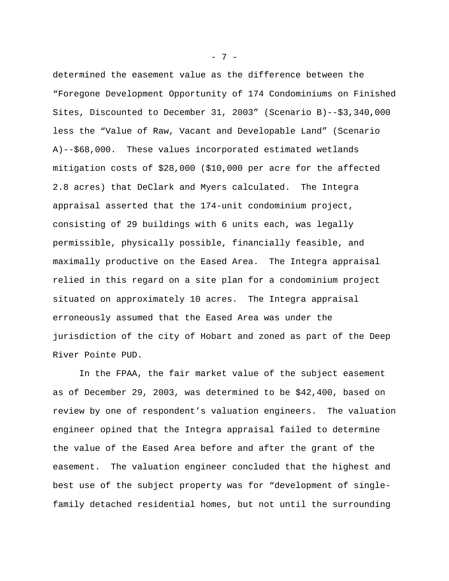determined the easement value as the difference between the "Foregone Development Opportunity of 174 Condominiums on Finished Sites, Discounted to December 31, 2003" (Scenario B)--\$3,340,000 less the "Value of Raw, Vacant and Developable Land" (Scenario A)--\$68,000. These values incorporated estimated wetlands mitigation costs of \$28,000 (\$10,000 per acre for the affected 2.8 acres) that DeClark and Myers calculated. The Integra appraisal asserted that the 174-unit condominium project, consisting of 29 buildings with 6 units each, was legally permissible, physically possible, financially feasible, and maximally productive on the Eased Area. The Integra appraisal relied in this regard on a site plan for a condominium project situated on approximately 10 acres. The Integra appraisal erroneously assumed that the Eased Area was under the jurisdiction of the city of Hobart and zoned as part of the Deep River Pointe PUD.

In the FPAA, the fair market value of the subject easement as of December 29, 2003, was determined to be \$42,400, based on review by one of respondent's valuation engineers. The valuation engineer opined that the Integra appraisal failed to determine the value of the Eased Area before and after the grant of the easement. The valuation engineer concluded that the highest and best use of the subject property was for "development of singlefamily detached residential homes, but not until the surrounding

- 7 -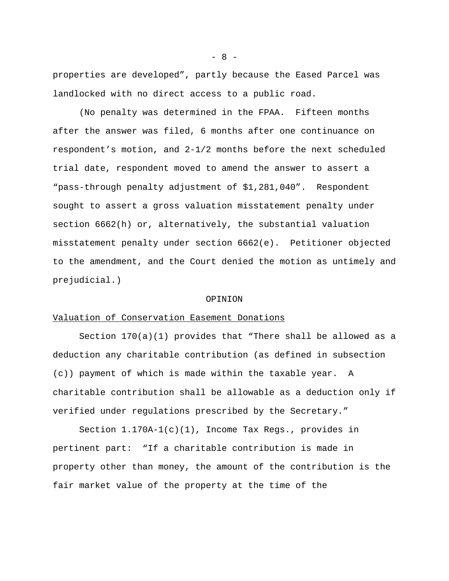properties are developed", partly because the Eased Parcel was landlocked with no direct access to a public road.

(No penalty was determined in the FPAA. Fifteen months after the answer was filed, 6 months after one continuance on respondent's motion, and 2-1/2 months before the next scheduled trial date, respondent moved to amend the answer to assert a "pass-through penalty adjustment of \$1,281,040". Respondent sought to assert a gross valuation misstatement penalty under section 6662(h) or, alternatively, the substantial valuation misstatement penalty under section 6662(e). Petitioner objected to the amendment, and the Court denied the motion as untimely and prejudicial.)

## OPINION

## Valuation of Conservation Easement Donations

Section  $170(a)(1)$  provides that "There shall be allowed as a deduction any charitable contribution (as defined in subsection (c)) payment of which is made within the taxable year. A charitable contribution shall be allowable as a deduction only if verified under regulations prescribed by the Secretary."

Section 1.170A-1(c)(1), Income Tax Regs., provides in pertinent part: "If a charitable contribution is made in property other than money, the amount of the contribution is the fair market value of the property at the time of the

 $- 8 -$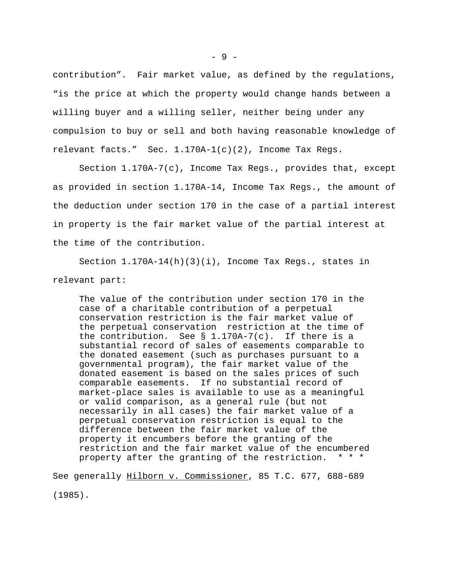contribution". Fair market value, as defined by the regulations, "is the price at which the property would change hands between a willing buyer and a willing seller, neither being under any compulsion to buy or sell and both having reasonable knowledge of relevant facts." Sec.  $1.170A-1(c)(2)$ , Income Tax Regs.

Section 1.170A-7(c), Income Tax Regs., provides that, except as provided in section 1.170A-14, Income Tax Regs., the amount of the deduction under section 170 in the case of a partial interest in property is the fair market value of the partial interest at the time of the contribution.

Section 1.170A-14(h)(3)(i), Income Tax Regs., states in relevant part:

The value of the contribution under section 170 in the case of a charitable contribution of a perpetual conservation restriction is the fair market value of the perpetual conservation restriction at the time of the contribution. See § 1.170A-7(c). If there is a substantial record of sales of easements comparable to the donated easement (such as purchases pursuant to a governmental program), the fair market value of the donated easement is based on the sales prices of such comparable easements. If no substantial record of market-place sales is available to use as a meaningful or valid comparison, as a general rule (but not necessarily in all cases) the fair market value of a perpetual conservation restriction is equal to the difference between the fair market value of the property it encumbers before the granting of the restriction and the fair market value of the encumbered property after the granting of the restriction. \* \* \*

See generally Hilborn v. Commissioner, 85 T.C. 677, 688-689

(1985).

- 9 -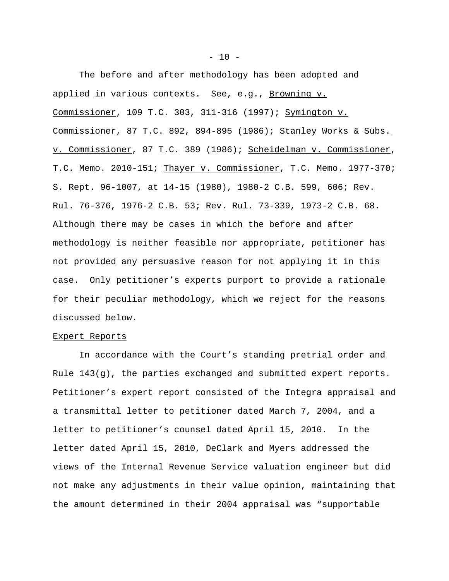The before and after methodology has been adopted and applied in various contexts. See, e.g., Browning v. Commissioner, 109 T.C. 303, 311-316 (1997); Symington v. Commissioner, 87 T.C. 892, 894-895 (1986); Stanley Works & Subs. v. Commissioner, 87 T.C. 389 (1986); Scheidelman v. Commissioner, T.C. Memo. 2010-151; Thayer v. Commissioner, T.C. Memo. 1977-370; S. Rept. 96-1007, at 14-15 (1980), 1980-2 C.B. 599, 606; Rev. Rul. 76-376, 1976-2 C.B. 53; Rev. Rul. 73-339, 1973-2 C.B. 68. Although there may be cases in which the before and after methodology is neither feasible nor appropriate, petitioner has not provided any persuasive reason for not applying it in this case. Only petitioner's experts purport to provide a rationale for their peculiar methodology, which we reject for the reasons discussed below.

#### Expert Reports

In accordance with the Court's standing pretrial order and Rule 143(g), the parties exchanged and submitted expert reports. Petitioner's expert report consisted of the Integra appraisal and a transmittal letter to petitioner dated March 7, 2004, and a letter to petitioner's counsel dated April 15, 2010. In the letter dated April 15, 2010, DeClark and Myers addressed the views of the Internal Revenue Service valuation engineer but did not make any adjustments in their value opinion, maintaining that the amount determined in their 2004 appraisal was "supportable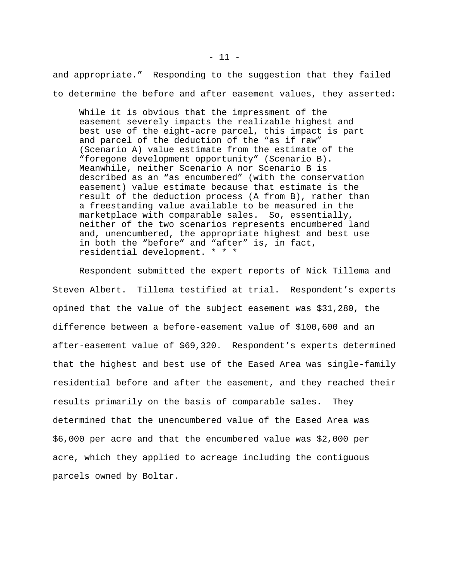and appropriate." Responding to the suggestion that they failed to determine the before and after easement values, they asserted:

While it is obvious that the impressment of the easement severely impacts the realizable highest and best use of the eight-acre parcel, this impact is part and parcel of the deduction of the "as if raw" (Scenario A) value estimate from the estimate of the "foregone development opportunity" (Scenario B). Meanwhile, neither Scenario A nor Scenario B is described as an "as encumbered" (with the conservation easement) value estimate because that estimate is the result of the deduction process (A from B), rather than a freestanding value available to be measured in the marketplace with comparable sales. So, essentially, neither of the two scenarios represents encumbered land and, unencumbered, the appropriate highest and best use in both the "before" and "after" is, in fact, residential development. \* \* \*

Respondent submitted the expert reports of Nick Tillema and Steven Albert. Tillema testified at trial. Respondent's experts opined that the value of the subject easement was \$31,280, the difference between a before-easement value of \$100,600 and an after-easement value of \$69,320. Respondent's experts determined that the highest and best use of the Eased Area was single-family residential before and after the easement, and they reached their results primarily on the basis of comparable sales. They determined that the unencumbered value of the Eased Area was \$6,000 per acre and that the encumbered value was \$2,000 per acre, which they applied to acreage including the contiguous parcels owned by Boltar.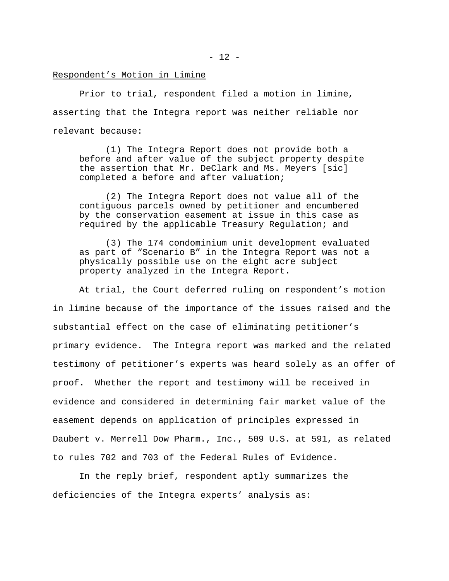# Respondent's Motion in Limine

Prior to trial, respondent filed a motion in limine, asserting that the Integra report was neither reliable nor relevant because:

(1) The Integra Report does not provide both a before and after value of the subject property despite the assertion that Mr. DeClark and Ms. Meyers [sic] completed a before and after valuation;

(2) The Integra Report does not value all of the contiguous parcels owned by petitioner and encumbered by the conservation easement at issue in this case as required by the applicable Treasury Regulation; and

(3) The 174 condominium unit development evaluated as part of "Scenario B" in the Integra Report was not a physically possible use on the eight acre subject property analyzed in the Integra Report.

At trial, the Court deferred ruling on respondent's motion in limine because of the importance of the issues raised and the substantial effect on the case of eliminating petitioner's primary evidence. The Integra report was marked and the related testimony of petitioner's experts was heard solely as an offer of proof. Whether the report and testimony will be received in evidence and considered in determining fair market value of the easement depends on application of principles expressed in Daubert v. Merrell Dow Pharm., Inc., 509 U.S. at 591, as related to rules 702 and 703 of the Federal Rules of Evidence.

In the reply brief, respondent aptly summarizes the deficiencies of the Integra experts' analysis as: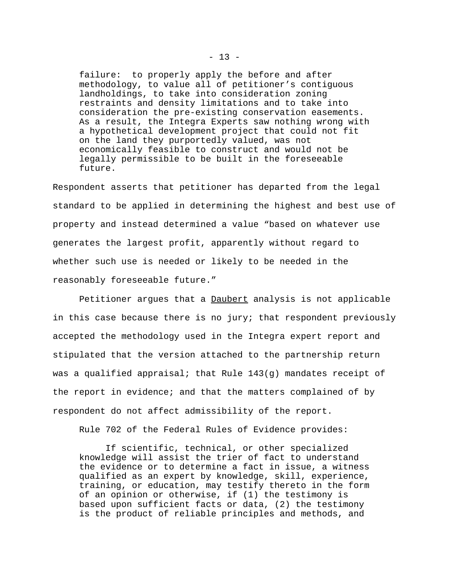failure: to properly apply the before and after methodology, to value all of petitioner's contiguous landholdings, to take into consideration zoning restraints and density limitations and to take into consideration the pre-existing conservation easements. As a result, the Integra Experts saw nothing wrong with a hypothetical development project that could not fit on the land they purportedly valued, was not economically feasible to construct and would not be legally permissible to be built in the foreseeable future.

Respondent asserts that petitioner has departed from the legal standard to be applied in determining the highest and best use of property and instead determined a value "based on whatever use generates the largest profit, apparently without regard to whether such use is needed or likely to be needed in the reasonably foreseeable future."

Petitioner argues that a Daubert analysis is not applicable in this case because there is no jury; that respondent previously accepted the methodology used in the Integra expert report and stipulated that the version attached to the partnership return was a qualified appraisal; that Rule 143(g) mandates receipt of the report in evidence; and that the matters complained of by respondent do not affect admissibility of the report.

Rule 702 of the Federal Rules of Evidence provides:

If scientific, technical, or other specialized knowledge will assist the trier of fact to understand the evidence or to determine a fact in issue, a witness qualified as an expert by knowledge, skill, experience, training, or education, may testify thereto in the form of an opinion or otherwise, if (1) the testimony is based upon sufficient facts or data, (2) the testimony is the product of reliable principles and methods, and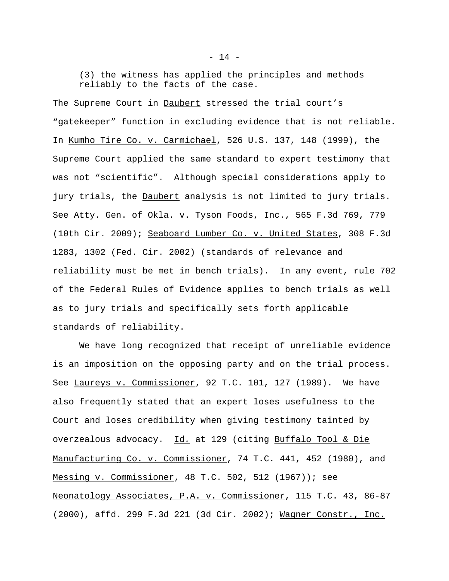(3) the witness has applied the principles and methods reliably to the facts of the case.

The Supreme Court in Daubert stressed the trial court's "gatekeeper" function in excluding evidence that is not reliable. In Kumho Tire Co. v. Carmichael, 526 U.S. 137, 148 (1999), the Supreme Court applied the same standard to expert testimony that was not "scientific". Although special considerations apply to jury trials, the Daubert analysis is not limited to jury trials. See Atty. Gen. of Okla. v. Tyson Foods, Inc., 565 F.3d 769, 779 (10th Cir. 2009); Seaboard Lumber Co. v. United States, 308 F.3d 1283, 1302 (Fed. Cir. 2002) (standards of relevance and reliability must be met in bench trials). In any event, rule 702 of the Federal Rules of Evidence applies to bench trials as well as to jury trials and specifically sets forth applicable standards of reliability.

We have long recognized that receipt of unreliable evidence is an imposition on the opposing party and on the trial process. See Laureys v. Commissioner, 92 T.C. 101, 127 (1989). We have also frequently stated that an expert loses usefulness to the Court and loses credibility when giving testimony tainted by overzealous advocacy. Id*.* at 129 (citing Buffalo Tool & Die Manufacturing Co. v. Commissioner, 74 T.C. 441, 452 (1980), and Messing v. Commissioner, 48 T.C. 502, 512 (1967)); see Neonatology Associates, P.A. v. Commissioner, 115 T.C. 43, 86-87 (2000), affd. 299 F.3d 221 (3d Cir. 2002); Wagner Constr., Inc.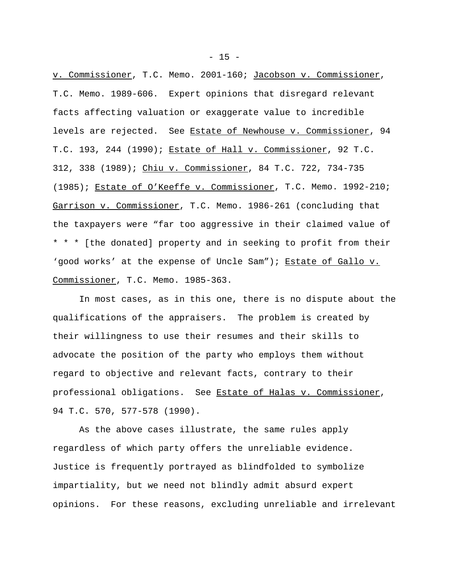v. Commissioner, T.C. Memo. 2001-160; Jacobson v. Commissioner, T.C. Memo. 1989-606. Expert opinions that disregard relevant facts affecting valuation or exaggerate value to incredible levels are rejected. See Estate of Newhouse v. Commissioner, 94 T.C. 193, 244 (1990); Estate of Hall v. Commissioner, 92 T.C. 312, 338 (1989); Chiu v. Commissioner, 84 T.C. 722, 734-735 (1985); Estate of O'Keeffe v. Commissioner, T.C. Memo. 1992-210; Garrison v. Commissioner, T.C. Memo. 1986-261 (concluding that the taxpayers were "far too aggressive in their claimed value of \* \* \* [the donated] property and in seeking to profit from their 'good works' at the expense of Uncle Sam"); Estate of Gallo v. Commissioner, T.C. Memo. 1985-363.

In most cases, as in this one, there is no dispute about the qualifications of the appraisers. The problem is created by their willingness to use their resumes and their skills to advocate the position of the party who employs them without regard to objective and relevant facts, contrary to their professional obligations. See Estate of Halas v. Commissioner, 94 T.C. 570, 577-578 (1990).

As the above cases illustrate, the same rules apply regardless of which party offers the unreliable evidence. Justice is frequently portrayed as blindfolded to symbolize impartiality, but we need not blindly admit absurd expert opinions. For these reasons, excluding unreliable and irrelevant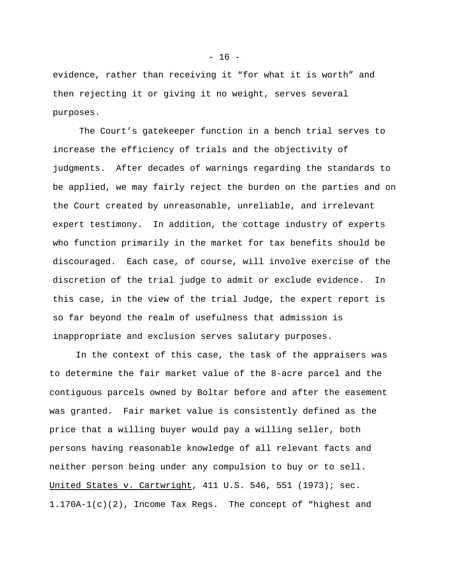evidence, rather than receiving it "for what it is worth" and then rejecting it or giving it no weight, serves several purposes.

The Court's gatekeeper function in a bench trial serves to increase the efficiency of trials and the objectivity of judgments. After decades of warnings regarding the standards to be applied, we may fairly reject the burden on the parties and on the Court created by unreasonable, unreliable, and irrelevant expert testimony. In addition, the cottage industry of experts who function primarily in the market for tax benefits should be discouraged. Each case, of course, will involve exercise of the discretion of the trial judge to admit or exclude evidence. In this case, in the view of the trial Judge, the expert report is so far beyond the realm of usefulness that admission is inappropriate and exclusion serves salutary purposes.

In the context of this case, the task of the appraisers was to determine the fair market value of the 8-acre parcel and the contiguous parcels owned by Boltar before and after the easement was granted. Fair market value is consistently defined as the price that a willing buyer would pay a willing seller, both persons having reasonable knowledge of all relevant facts and neither person being under any compulsion to buy or to sell. United States v. Cartwright, 411 U.S. 546, 551 (1973); sec. 1.170A-1(c)(2), Income Tax Regs. The concept of "highest and

 $- 16 -$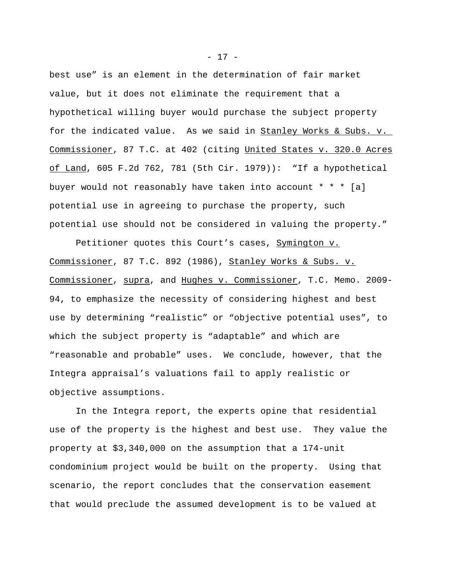best use" is an element in the determination of fair market value, but it does not eliminate the requirement that a hypothetical willing buyer would purchase the subject property for the indicated value. As we said in Stanley Works & Subs. v. Commissioner, 87 T.C. at 402 (citing United States v. 320.0 Acres  $of$  Land, 605 F.2d 762, 781 (5th Cir. 1979)): "If a hypothetical buyer would not reasonably have taken into account \* \* \* [a] potential use in agreeing to purchase the property, such potential use should not be considered in valuing the property."

Petitioner quotes this Court's cases, Symington v. Commissioner, 87 T.C. 892 (1986), Stanley Works & Subs. v. Commissioner, supra, and Hughes v. Commissioner, T.C. Memo. 2009- 94, to emphasize the necessity of considering highest and best use by determining "realistic" or "objective potential uses", to which the subject property is "adaptable" and which are "reasonable and probable" uses. We conclude, however, that the Integra appraisal's valuations fail to apply realistic or objective assumptions.

In the Integra report, the experts opine that residential use of the property is the highest and best use. They value the property at \$3,340,000 on the assumption that a 174-unit condominium project would be built on the property. Using that scenario, the report concludes that the conservation easement that would preclude the assumed development is to be valued at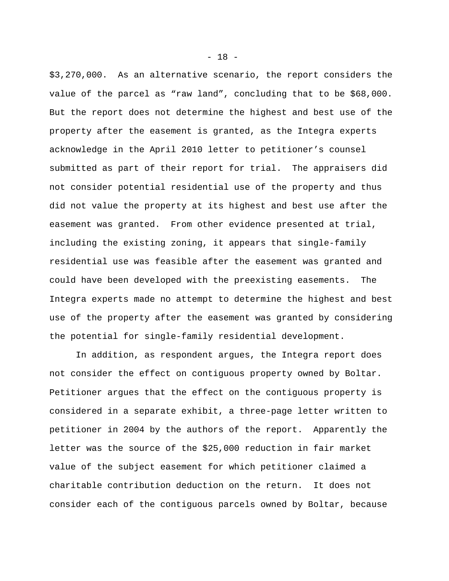\$3,270,000. As an alternative scenario, the report considers the value of the parcel as "raw land", concluding that to be \$68,000. But the report does not determine the highest and best use of the property after the easement is granted, as the Integra experts acknowledge in the April 2010 letter to petitioner's counsel submitted as part of their report for trial. The appraisers did not consider potential residential use of the property and thus did not value the property at its highest and best use after the easement was granted. From other evidence presented at trial, including the existing zoning, it appears that single-family residential use was feasible after the easement was granted and could have been developed with the preexisting easements. The Integra experts made no attempt to determine the highest and best use of the property after the easement was granted by considering the potential for single-family residential development.

In addition, as respondent argues, the Integra report does not consider the effect on contiguous property owned by Boltar. Petitioner argues that the effect on the contiguous property is considered in a separate exhibit, a three-page letter written to petitioner in 2004 by the authors of the report. Apparently the letter was the source of the \$25,000 reduction in fair market value of the subject easement for which petitioner claimed a charitable contribution deduction on the return. It does not consider each of the contiguous parcels owned by Boltar, because

- 18 -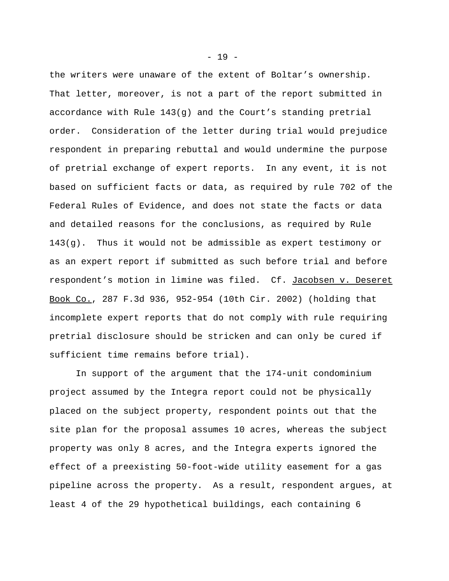the writers were unaware of the extent of Boltar's ownership. That letter, moreover, is not a part of the report submitted in accordance with Rule 143(g) and the Court's standing pretrial order. Consideration of the letter during trial would prejudice respondent in preparing rebuttal and would undermine the purpose of pretrial exchange of expert reports. In any event, it is not based on sufficient facts or data, as required by rule 702 of the Federal Rules of Evidence, and does not state the facts or data and detailed reasons for the conclusions, as required by Rule  $143(q)$ . Thus it would not be admissible as expert testimony or as an expert report if submitted as such before trial and before respondent's motion in limine was filed. Cf. Jacobsen v. Deseret Book Co., 287 F.3d 936, 952-954 (10th Cir. 2002) (holding that incomplete expert reports that do not comply with rule requiring pretrial disclosure should be stricken and can only be cured if sufficient time remains before trial).

In support of the argument that the 174-unit condominium project assumed by the Integra report could not be physically placed on the subject property, respondent points out that the site plan for the proposal assumes 10 acres, whereas the subject property was only 8 acres, and the Integra experts ignored the effect of a preexisting 50-foot-wide utility easement for a gas pipeline across the property. As a result, respondent argues, at least 4 of the 29 hypothetical buildings, each containing 6

 $- 19 -$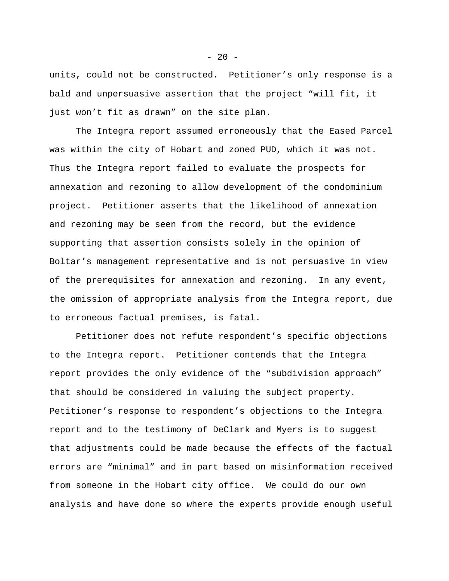units, could not be constructed. Petitioner's only response is a bald and unpersuasive assertion that the project "will fit, it just won't fit as drawn" on the site plan.

The Integra report assumed erroneously that the Eased Parcel was within the city of Hobart and zoned PUD, which it was not. Thus the Integra report failed to evaluate the prospects for annexation and rezoning to allow development of the condominium project. Petitioner asserts that the likelihood of annexation and rezoning may be seen from the record, but the evidence supporting that assertion consists solely in the opinion of Boltar's management representative and is not persuasive in view of the prerequisites for annexation and rezoning. In any event, the omission of appropriate analysis from the Integra report, due to erroneous factual premises, is fatal.

Petitioner does not refute respondent's specific objections to the Integra report. Petitioner contends that the Integra report provides the only evidence of the "subdivision approach" that should be considered in valuing the subject property. Petitioner's response to respondent's objections to the Integra report and to the testimony of DeClark and Myers is to suggest that adjustments could be made because the effects of the factual errors are "minimal" and in part based on misinformation received from someone in the Hobart city office. We could do our own analysis and have done so where the experts provide enough useful

 $- 20 -$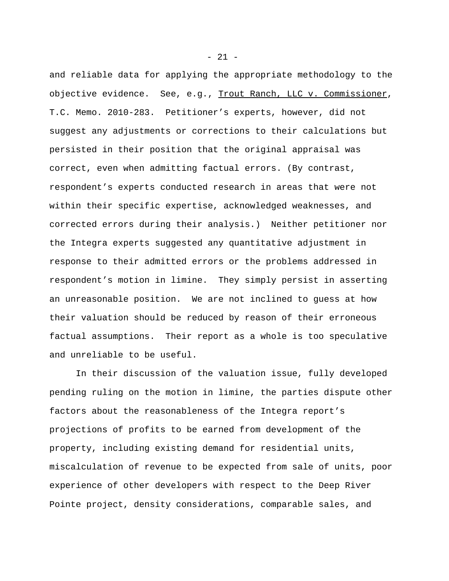and reliable data for applying the appropriate methodology to the objective evidence. See, e.g., Trout Ranch, LLC v. Commissioner, T.C. Memo. 2010-283. Petitioner's experts, however, did not suggest any adjustments or corrections to their calculations but persisted in their position that the original appraisal was correct, even when admitting factual errors. (By contrast, respondent's experts conducted research in areas that were not within their specific expertise, acknowledged weaknesses, and corrected errors during their analysis.) Neither petitioner nor the Integra experts suggested any quantitative adjustment in response to their admitted errors or the problems addressed in respondent's motion in limine. They simply persist in asserting an unreasonable position. We are not inclined to guess at how their valuation should be reduced by reason of their erroneous factual assumptions. Their report as a whole is too speculative and unreliable to be useful.

In their discussion of the valuation issue, fully developed pending ruling on the motion in limine, the parties dispute other factors about the reasonableness of the Integra report's projections of profits to be earned from development of the property, including existing demand for residential units, miscalculation of revenue to be expected from sale of units, poor experience of other developers with respect to the Deep River Pointe project, density considerations, comparable sales, and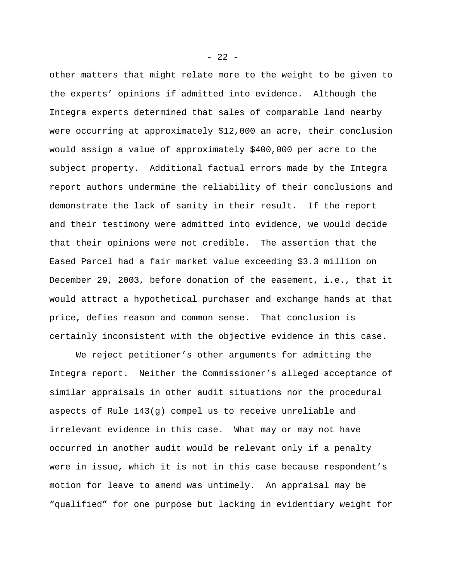other matters that might relate more to the weight to be given to the experts' opinions if admitted into evidence. Although the Integra experts determined that sales of comparable land nearby were occurring at approximately \$12,000 an acre, their conclusion would assign a value of approximately \$400,000 per acre to the subject property. Additional factual errors made by the Integra report authors undermine the reliability of their conclusions and demonstrate the lack of sanity in their result. If the report and their testimony were admitted into evidence, we would decide that their opinions were not credible. The assertion that the Eased Parcel had a fair market value exceeding \$3.3 million on December 29, 2003, before donation of the easement, i.e., that it would attract a hypothetical purchaser and exchange hands at that price, defies reason and common sense. That conclusion is certainly inconsistent with the objective evidence in this case.

We reject petitioner's other arguments for admitting the Integra report. Neither the Commissioner's alleged acceptance of similar appraisals in other audit situations nor the procedural aspects of Rule 143(g) compel us to receive unreliable and irrelevant evidence in this case. What may or may not have occurred in another audit would be relevant only if a penalty were in issue, which it is not in this case because respondent's motion for leave to amend was untimely. An appraisal may be "qualified" for one purpose but lacking in evidentiary weight for

 $- 22 -$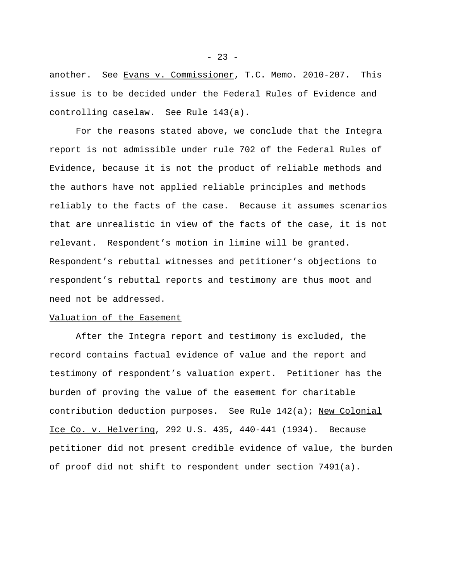another. See Evans v. Commissioner, T.C. Memo. 2010-207. This issue is to be decided under the Federal Rules of Evidence and controlling caselaw. See Rule 143(a).

For the reasons stated above, we conclude that the Integra report is not admissible under rule 702 of the Federal Rules of Evidence, because it is not the product of reliable methods and the authors have not applied reliable principles and methods reliably to the facts of the case. Because it assumes scenarios that are unrealistic in view of the facts of the case, it is not relevant. Respondent's motion in limine will be granted. Respondent's rebuttal witnesses and petitioner's objections to respondent's rebuttal reports and testimony are thus moot and need not be addressed.

## Valuation of the Easement

After the Integra report and testimony is excluded, the record contains factual evidence of value and the report and testimony of respondent's valuation expert. Petitioner has the burden of proving the value of the easement for charitable contribution deduction purposes. See Rule 142(a); New Colonial Ice Co. v. Helvering, 292 U.S. 435, 440-441 (1934). Because petitioner did not present credible evidence of value, the burden of proof did not shift to respondent under section 7491(a).

 $- 23 -$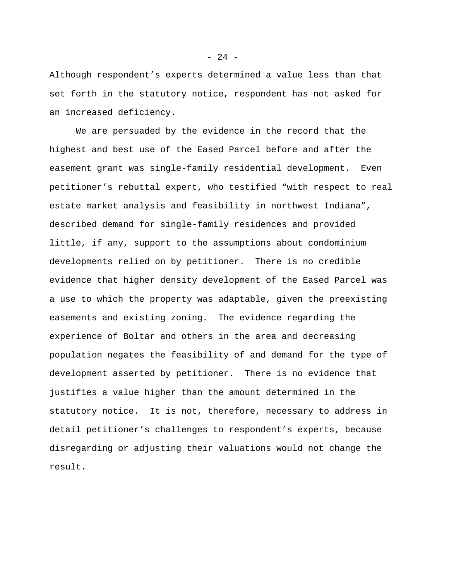Although respondent's experts determined a value less than that set forth in the statutory notice, respondent has not asked for an increased deficiency.

We are persuaded by the evidence in the record that the highest and best use of the Eased Parcel before and after the easement grant was single-family residential development. Even petitioner's rebuttal expert, who testified "with respect to real estate market analysis and feasibility in northwest Indiana", described demand for single-family residences and provided little, if any, support to the assumptions about condominium developments relied on by petitioner. There is no credible evidence that higher density development of the Eased Parcel was a use to which the property was adaptable, given the preexisting easements and existing zoning. The evidence regarding the experience of Boltar and others in the area and decreasing population negates the feasibility of and demand for the type of development asserted by petitioner. There is no evidence that justifies a value higher than the amount determined in the statutory notice. It is not, therefore, necessary to address in detail petitioner's challenges to respondent's experts, because disregarding or adjusting their valuations would not change the result.

 $- 24 -$